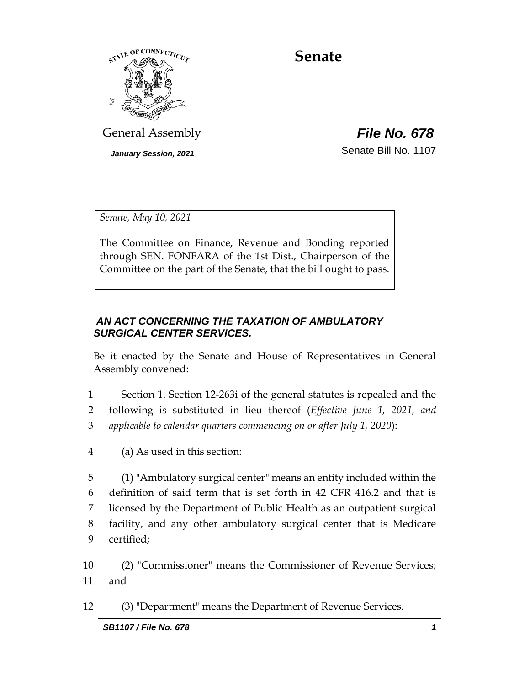

# **Senate**

General Assembly *File No. 678*

*January Session, 2021* Change of Senate Bill No. 1107

*Senate, May 10, 2021*

The Committee on Finance, Revenue and Bonding reported through SEN. FONFARA of the 1st Dist., Chairperson of the Committee on the part of the Senate, that the bill ought to pass.

## *AN ACT CONCERNING THE TAXATION OF AMBULATORY SURGICAL CENTER SERVICES.*

Be it enacted by the Senate and House of Representatives in General Assembly convened:

- 1 Section 1. Section 12-263i of the general statutes is repealed and the 2 following is substituted in lieu thereof (*Effective June 1, 2021, and*  3 *applicable to calendar quarters commencing on or after July 1, 2020*):
- 4 (a) As used in this section:

 (1) "Ambulatory surgical center" means an entity included within the definition of said term that is set forth in 42 CFR 416.2 and that is licensed by the Department of Public Health as an outpatient surgical facility, and any other ambulatory surgical center that is Medicare certified;

10 (2) "Commissioner" means the Commissioner of Revenue Services; 11 and

12 (3) "Department" means the Department of Revenue Services.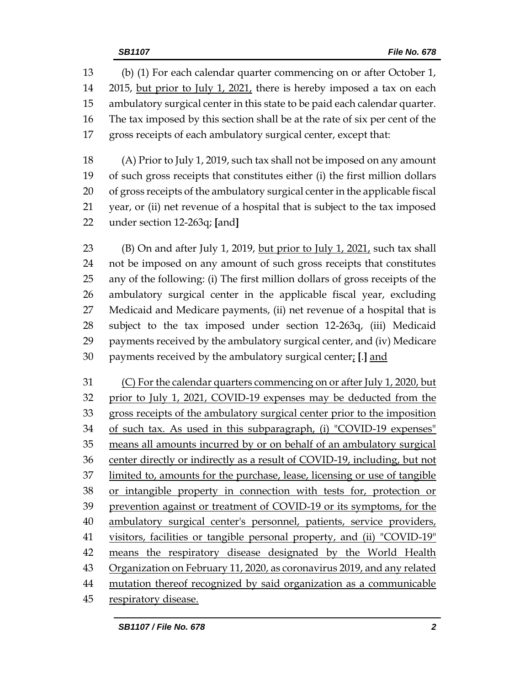(b) (1) For each calendar quarter commencing on or after October 1, 14 2015, but prior to July 1, 2021, there is hereby imposed a tax on each ambulatory surgical center in this state to be paid each calendar quarter. The tax imposed by this section shall be at the rate of six per cent of the gross receipts of each ambulatory surgical center, except that:

 (A) Prior to July 1, 2019, such tax shall not be imposed on any amount of such gross receipts that constitutes either (i) the first million dollars of gross receipts of the ambulatory surgical center in the applicable fiscal year, or (ii) net revenue of a hospital that is subject to the tax imposed under section 12-263q; **[**and**]**

 (B) On and after July 1, 2019, but prior to July 1, 2021, such tax shall not be imposed on any amount of such gross receipts that constitutes any of the following: (i) The first million dollars of gross receipts of the ambulatory surgical center in the applicable fiscal year, excluding Medicaid and Medicare payments, (ii) net revenue of a hospital that is subject to the tax imposed under section 12-263q, (iii) Medicaid payments received by the ambulatory surgical center, and (iv) Medicare payments received by the ambulatory surgical center; **[**.**]** and

 (C) For the calendar quarters commencing on or after July 1, 2020, but prior to July 1, 2021, COVID-19 expenses may be deducted from the gross receipts of the ambulatory surgical center prior to the imposition of such tax. As used in this subparagraph, (i) "COVID-19 expenses" means all amounts incurred by or on behalf of an ambulatory surgical 36 center directly or indirectly as a result of COVID-19, including, but not limited to, amounts for the purchase, lease, licensing or use of tangible or intangible property in connection with tests for, protection or prevention against or treatment of COVID-19 or its symptoms, for the ambulatory surgical center's personnel, patients, service providers, visitors, facilities or tangible personal property, and (ii) "COVID-19" means the respiratory disease designated by the World Health Organization on February 11, 2020, as coronavirus 2019, and any related 44 mutation thereof recognized by said organization as a communicable respiratory disease.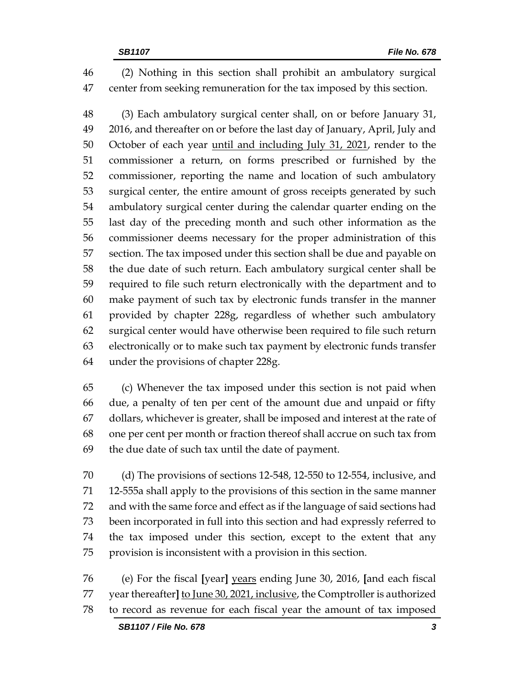(2) Nothing in this section shall prohibit an ambulatory surgical center from seeking remuneration for the tax imposed by this section.

 (3) Each ambulatory surgical center shall, on or before January 31, 2016, and thereafter on or before the last day of January, April, July and 50 October of each year until and including July 31, 2021, render to the commissioner a return, on forms prescribed or furnished by the commissioner, reporting the name and location of such ambulatory surgical center, the entire amount of gross receipts generated by such ambulatory surgical center during the calendar quarter ending on the last day of the preceding month and such other information as the commissioner deems necessary for the proper administration of this section. The tax imposed under this section shall be due and payable on the due date of such return. Each ambulatory surgical center shall be required to file such return electronically with the department and to make payment of such tax by electronic funds transfer in the manner provided by chapter 228g, regardless of whether such ambulatory surgical center would have otherwise been required to file such return electronically or to make such tax payment by electronic funds transfer under the provisions of chapter 228g.

 (c) Whenever the tax imposed under this section is not paid when due, a penalty of ten per cent of the amount due and unpaid or fifty dollars, whichever is greater, shall be imposed and interest at the rate of one per cent per month or fraction thereof shall accrue on such tax from the due date of such tax until the date of payment.

 (d) The provisions of sections 12-548, 12-550 to 12-554, inclusive, and 12-555a shall apply to the provisions of this section in the same manner and with the same force and effect as if the language of said sections had been incorporated in full into this section and had expressly referred to the tax imposed under this section, except to the extent that any provision is inconsistent with a provision in this section.

 (e) For the fiscal **[**year**]** years ending June 30, 2016, **[**and each fiscal year thereafter**]** to June 30, 2021, inclusive, the Comptroller is authorized to record as revenue for each fiscal year the amount of tax imposed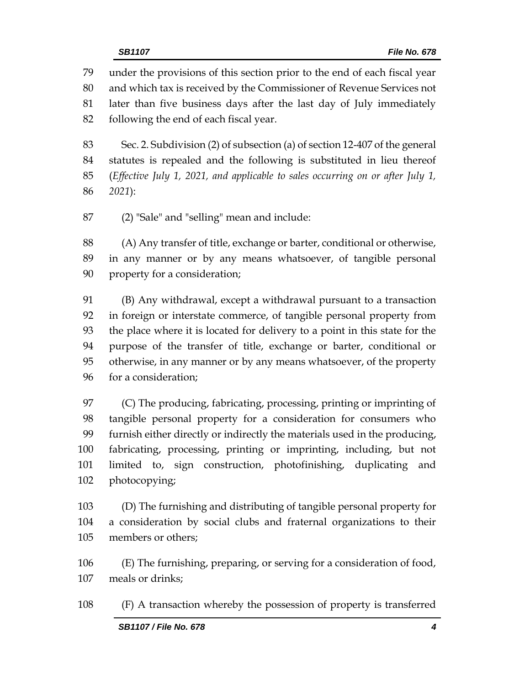under the provisions of this section prior to the end of each fiscal year and which tax is received by the Commissioner of Revenue Services not later than five business days after the last day of July immediately following the end of each fiscal year.

 Sec. 2. Subdivision (2) of subsection (a) of section 12-407 of the general statutes is repealed and the following is substituted in lieu thereof (*Effective July 1, 2021, and applicable to sales occurring on or after July 1, 2021*):

(2) "Sale" and "selling" mean and include:

 (A) Any transfer of title, exchange or barter, conditional or otherwise, in any manner or by any means whatsoever, of tangible personal property for a consideration;

 (B) Any withdrawal, except a withdrawal pursuant to a transaction in foreign or interstate commerce, of tangible personal property from the place where it is located for delivery to a point in this state for the purpose of the transfer of title, exchange or barter, conditional or otherwise, in any manner or by any means whatsoever, of the property for a consideration;

 (C) The producing, fabricating, processing, printing or imprinting of tangible personal property for a consideration for consumers who furnish either directly or indirectly the materials used in the producing, fabricating, processing, printing or imprinting, including, but not limited to, sign construction, photofinishing, duplicating and photocopying;

 (D) The furnishing and distributing of tangible personal property for a consideration by social clubs and fraternal organizations to their members or others;

 (E) The furnishing, preparing, or serving for a consideration of food, meals or drinks;

(F) A transaction whereby the possession of property is transferred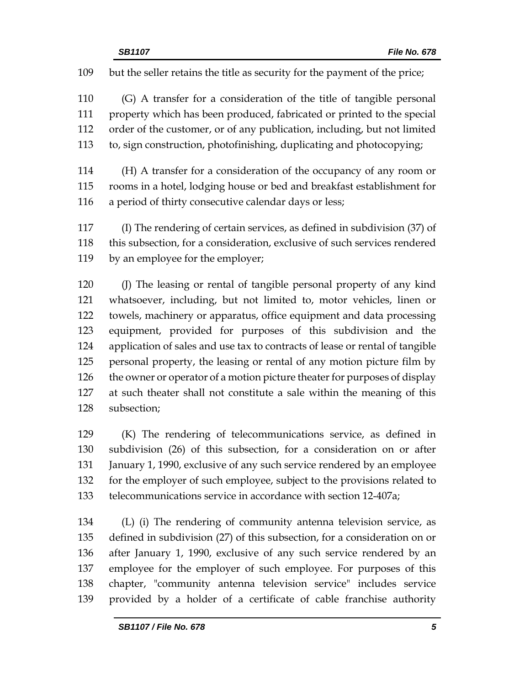but the seller retains the title as security for the payment of the price;

 (G) A transfer for a consideration of the title of tangible personal property which has been produced, fabricated or printed to the special order of the customer, or of any publication, including, but not limited to, sign construction, photofinishing, duplicating and photocopying;

 (H) A transfer for a consideration of the occupancy of any room or rooms in a hotel, lodging house or bed and breakfast establishment for a period of thirty consecutive calendar days or less;

 (I) The rendering of certain services, as defined in subdivision (37) of this subsection, for a consideration, exclusive of such services rendered by an employee for the employer;

 (J) The leasing or rental of tangible personal property of any kind whatsoever, including, but not limited to, motor vehicles, linen or towels, machinery or apparatus, office equipment and data processing equipment, provided for purposes of this subdivision and the application of sales and use tax to contracts of lease or rental of tangible personal property, the leasing or rental of any motion picture film by 126 the owner or operator of a motion picture theater for purposes of display at such theater shall not constitute a sale within the meaning of this subsection;

 (K) The rendering of telecommunications service, as defined in subdivision (26) of this subsection, for a consideration on or after January 1, 1990, exclusive of any such service rendered by an employee for the employer of such employee, subject to the provisions related to telecommunications service in accordance with section 12-407a;

 (L) (i) The rendering of community antenna television service, as defined in subdivision (27) of this subsection, for a consideration on or after January 1, 1990, exclusive of any such service rendered by an employee for the employer of such employee. For purposes of this chapter, "community antenna television service" includes service provided by a holder of a certificate of cable franchise authority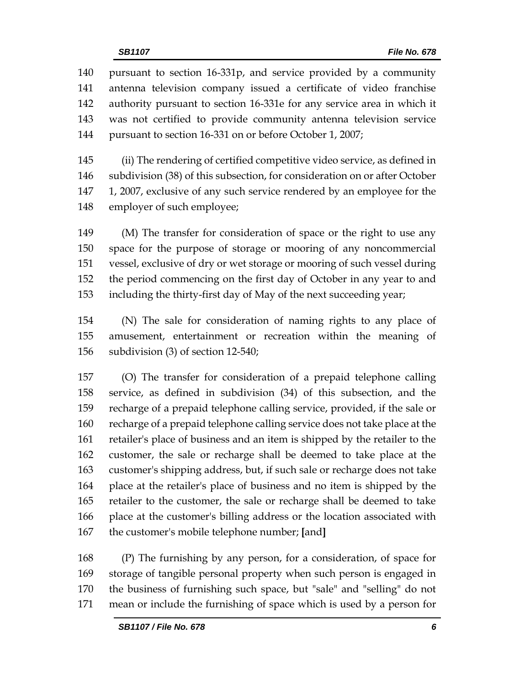pursuant to section 16-331p, and service provided by a community antenna television company issued a certificate of video franchise authority pursuant to section 16-331e for any service area in which it was not certified to provide community antenna television service pursuant to section 16-331 on or before October 1, 2007;

 (ii) The rendering of certified competitive video service, as defined in subdivision (38) of this subsection, for consideration on or after October 1, 2007, exclusive of any such service rendered by an employee for the employer of such employee;

 (M) The transfer for consideration of space or the right to use any space for the purpose of storage or mooring of any noncommercial vessel, exclusive of dry or wet storage or mooring of such vessel during the period commencing on the first day of October in any year to and including the thirty-first day of May of the next succeeding year;

 (N) The sale for consideration of naming rights to any place of amusement, entertainment or recreation within the meaning of subdivision (3) of section 12-540;

 (O) The transfer for consideration of a prepaid telephone calling service, as defined in subdivision (34) of this subsection, and the recharge of a prepaid telephone calling service, provided, if the sale or recharge of a prepaid telephone calling service does not take place at the retailer's place of business and an item is shipped by the retailer to the customer, the sale or recharge shall be deemed to take place at the customer's shipping address, but, if such sale or recharge does not take place at the retailer's place of business and no item is shipped by the retailer to the customer, the sale or recharge shall be deemed to take place at the customer's billing address or the location associated with the customer's mobile telephone number; **[**and**]**

 (P) The furnishing by any person, for a consideration, of space for storage of tangible personal property when such person is engaged in the business of furnishing such space, but "sale" and "selling" do not mean or include the furnishing of space which is used by a person for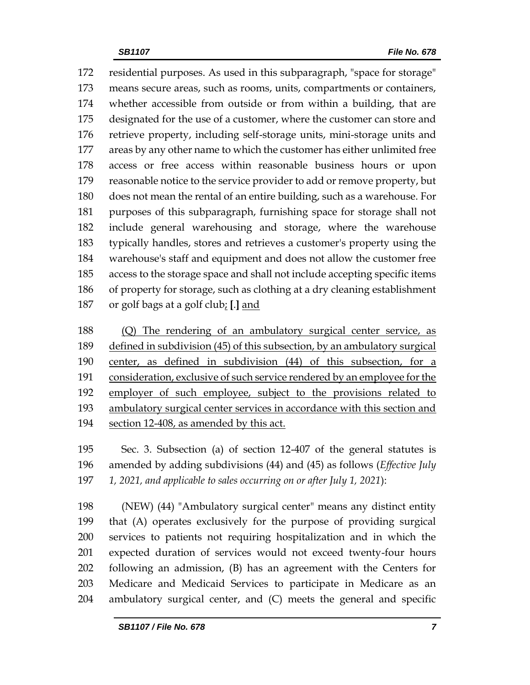residential purposes. As used in this subparagraph, "space for storage" means secure areas, such as rooms, units, compartments or containers, whether accessible from outside or from within a building, that are designated for the use of a customer, where the customer can store and retrieve property, including self-storage units, mini-storage units and areas by any other name to which the customer has either unlimited free access or free access within reasonable business hours or upon reasonable notice to the service provider to add or remove property, but does not mean the rental of an entire building, such as a warehouse. For purposes of this subparagraph, furnishing space for storage shall not include general warehousing and storage, where the warehouse typically handles, stores and retrieves a customer's property using the warehouse's staff and equipment and does not allow the customer free access to the storage space and shall not include accepting specific items of property for storage, such as clothing at a dry cleaning establishment or golf bags at a golf club; **[**.**]** and

 (Q) The rendering of an ambulatory surgical center service, as 189 defined in subdivision (45) of this subsection, by an ambulatory surgical center, as defined in subdivision (44) of this subsection, for a consideration, exclusive of such service rendered by an employee for the employer of such employee, subject to the provisions related to ambulatory surgical center services in accordance with this section and section 12-408, as amended by this act.

 Sec. 3. Subsection (a) of section 12-407 of the general statutes is amended by adding subdivisions (44) and (45) as follows (*Effective July 1, 2021, and applicable to sales occurring on or after July 1, 2021*):

 (NEW) (44) "Ambulatory surgical center" means any distinct entity that (A) operates exclusively for the purpose of providing surgical services to patients not requiring hospitalization and in which the expected duration of services would not exceed twenty-four hours following an admission, (B) has an agreement with the Centers for Medicare and Medicaid Services to participate in Medicare as an ambulatory surgical center, and (C) meets the general and specific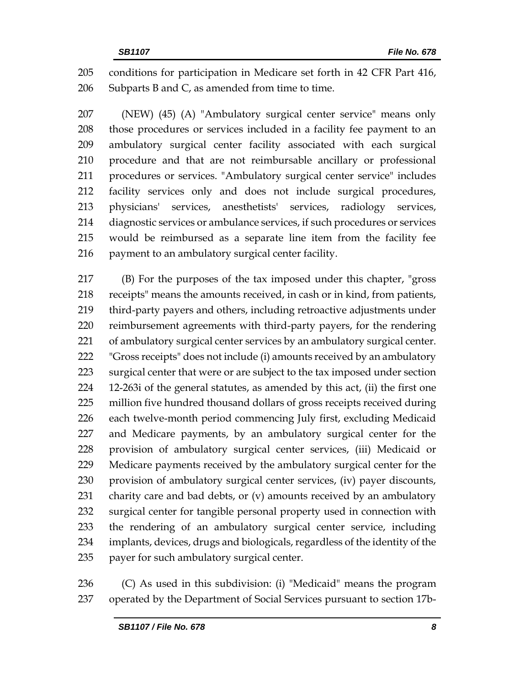conditions for participation in Medicare set forth in 42 CFR Part 416, 206 Subparts B and  $C<sub>r</sub>$  as amended from time to time.

 (NEW) (45) (A) "Ambulatory surgical center service" means only those procedures or services included in a facility fee payment to an ambulatory surgical center facility associated with each surgical procedure and that are not reimbursable ancillary or professional procedures or services. "Ambulatory surgical center service" includes facility services only and does not include surgical procedures, physicians' services, anesthetists' services, radiology services, diagnostic services or ambulance services, if such procedures or services would be reimbursed as a separate line item from the facility fee 216 payment to an ambulatory surgical center facility.

 (B) For the purposes of the tax imposed under this chapter, "gross receipts" means the amounts received, in cash or in kind, from patients, third-party payers and others, including retroactive adjustments under reimbursement agreements with third-party payers, for the rendering of ambulatory surgical center services by an ambulatory surgical center. "Gross receipts" does not include (i) amounts received by an ambulatory surgical center that were or are subject to the tax imposed under section 12-263i of the general statutes, as amended by this act, (ii) the first one million five hundred thousand dollars of gross receipts received during each twelve-month period commencing July first, excluding Medicaid and Medicare payments, by an ambulatory surgical center for the provision of ambulatory surgical center services, (iii) Medicaid or Medicare payments received by the ambulatory surgical center for the provision of ambulatory surgical center services, (iv) payer discounts, charity care and bad debts, or (v) amounts received by an ambulatory surgical center for tangible personal property used in connection with the rendering of an ambulatory surgical center service, including implants, devices, drugs and biologicals, regardless of the identity of the payer for such ambulatory surgical center.

 (C) As used in this subdivision: (i) "Medicaid" means the program operated by the Department of Social Services pursuant to section 17b-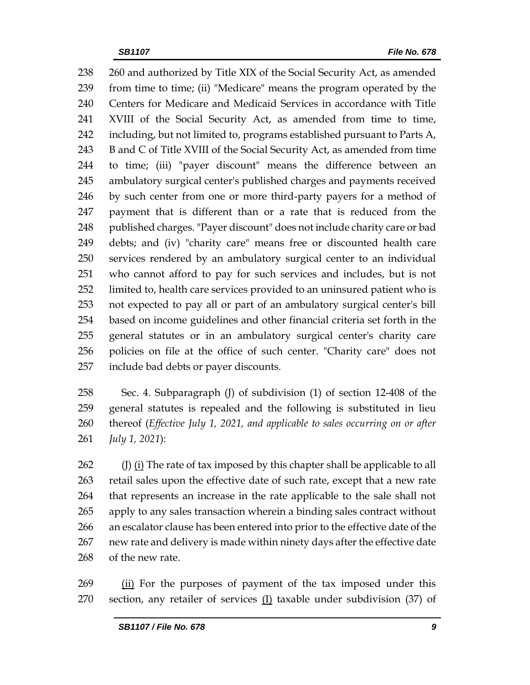238 260 and authorized by Title XIX of the Social Security Act, as amended from time to time; (ii) "Medicare" means the program operated by the Centers for Medicare and Medicaid Services in accordance with Title XVIII of the Social Security Act, as amended from time to time, including, but not limited to, programs established pursuant to Parts A, 243 B and C of Title XVIII of the Social Security Act, as amended from time to time; (iii) "payer discount" means the difference between an ambulatory surgical center's published charges and payments received by such center from one or more third-party payers for a method of payment that is different than or a rate that is reduced from the 248 published charges. "Payer discount" does not include charity care or bad debts; and (iv) "charity care" means free or discounted health care services rendered by an ambulatory surgical center to an individual who cannot afford to pay for such services and includes, but is not limited to, health care services provided to an uninsured patient who is not expected to pay all or part of an ambulatory surgical center's bill based on income guidelines and other financial criteria set forth in the general statutes or in an ambulatory surgical center's charity care policies on file at the office of such center. "Charity care" does not include bad debts or payer discounts.

 Sec. 4. Subparagraph (J) of subdivision (1) of section 12-408 of the general statutes is repealed and the following is substituted in lieu thereof (*Effective July 1, 2021, and applicable to sales occurring on or after July 1, 2021*):

262 (J)  $(i)$  The rate of tax imposed by this chapter shall be applicable to all retail sales upon the effective date of such rate, except that a new rate that represents an increase in the rate applicable to the sale shall not apply to any sales transaction wherein a binding sales contract without an escalator clause has been entered into prior to the effective date of the new rate and delivery is made within ninety days after the effective date of the new rate.

269 (ii) For the purposes of payment of the tax imposed under this section, any retailer of services (I) taxable under subdivision (37) of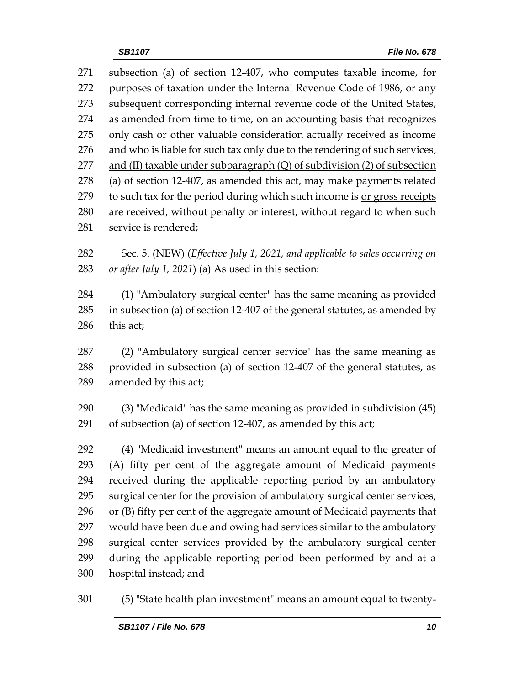| 271 | subsection (a) of section 12-407, who computes taxable income, for           |
|-----|------------------------------------------------------------------------------|
| 272 | purposes of taxation under the Internal Revenue Code of 1986, or any         |
| 273 | subsequent corresponding internal revenue code of the United States,         |
| 274 | as amended from time to time, on an accounting basis that recognizes         |
| 275 | only cash or other valuable consideration actually received as income        |
| 276 | and who is liable for such tax only due to the rendering of such services,   |
| 277 | and (II) taxable under subparagraph $(Q)$ of subdivision $(2)$ of subsection |
| 278 | (a) of section 12-407, as amended this act, may make payments related        |
| 279 | to such tax for the period during which such income is or gross receipts     |
| 280 | are received, without penalty or interest, without regard to when such       |
| 281 | service is rendered;                                                         |
|     |                                                                              |

 Sec. 5. (NEW) (*Effective July 1, 2021, and applicable to sales occurring on or after July 1, 2021*) (a) As used in this section:

 (1) "Ambulatory surgical center" has the same meaning as provided in subsection (a) of section 12-407 of the general statutes, as amended by this act;

 (2) "Ambulatory surgical center service" has the same meaning as provided in subsection (a) of section 12-407 of the general statutes, as amended by this act;

 (3) "Medicaid" has the same meaning as provided in subdivision (45) of subsection (a) of section 12-407, as amended by this act;

 (4) "Medicaid investment" means an amount equal to the greater of (A) fifty per cent of the aggregate amount of Medicaid payments received during the applicable reporting period by an ambulatory surgical center for the provision of ambulatory surgical center services, or (B) fifty per cent of the aggregate amount of Medicaid payments that would have been due and owing had services similar to the ambulatory surgical center services provided by the ambulatory surgical center during the applicable reporting period been performed by and at a hospital instead; and

(5) "State health plan investment" means an amount equal to twenty-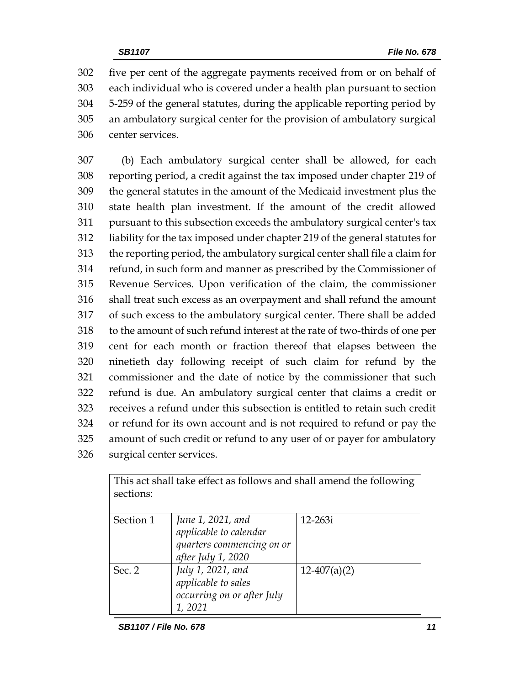five per cent of the aggregate payments received from or on behalf of each individual who is covered under a health plan pursuant to section 5-259 of the general statutes, during the applicable reporting period by an ambulatory surgical center for the provision of ambulatory surgical center services.

 (b) Each ambulatory surgical center shall be allowed, for each reporting period, a credit against the tax imposed under chapter 219 of the general statutes in the amount of the Medicaid investment plus the state health plan investment. If the amount of the credit allowed pursuant to this subsection exceeds the ambulatory surgical center's tax liability for the tax imposed under chapter 219 of the general statutes for the reporting period, the ambulatory surgical center shall file a claim for refund, in such form and manner as prescribed by the Commissioner of Revenue Services. Upon verification of the claim, the commissioner shall treat such excess as an overpayment and shall refund the amount of such excess to the ambulatory surgical center. There shall be added to the amount of such refund interest at the rate of two-thirds of one per cent for each month or fraction thereof that elapses between the ninetieth day following receipt of such claim for refund by the commissioner and the date of notice by the commissioner that such refund is due. An ambulatory surgical center that claims a credit or receives a refund under this subsection is entitled to retain such credit or refund for its own account and is not required to refund or pay the amount of such credit or refund to any user of or payer for ambulatory surgical center services.

| sections: | This act shall take effect as follows and shall amend the following                            |                |
|-----------|------------------------------------------------------------------------------------------------|----------------|
| Section 1 | June 1, 2021, and<br>applicable to calendar<br>quarters commencing on or<br>after July 1, 2020 | 12-263i        |
| Sec. 2    | July 1, 2021, and<br>applicable to sales<br>occurring on or after July<br>1,2021               | $12-407(a)(2)$ |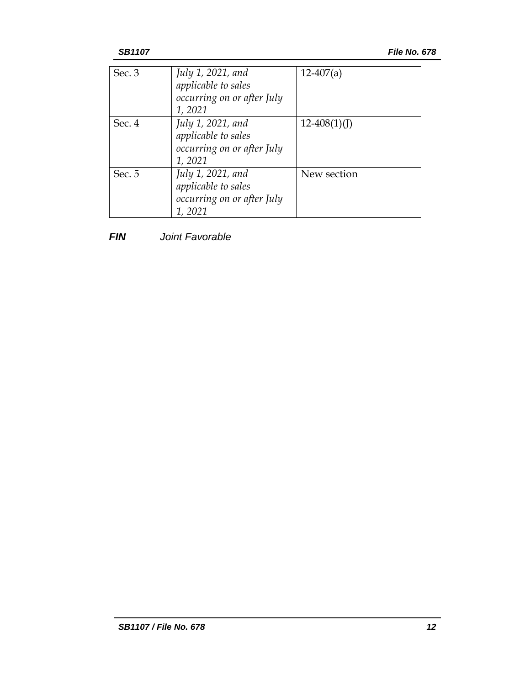| Sec. $3$ | July 1, 2021, and<br>applicable to sales<br>occurring on or after July<br>1,2021 | $12-407(a)$    |
|----------|----------------------------------------------------------------------------------|----------------|
| Sec. 4   | July 1, 2021, and<br>applicable to sales<br>occurring on or after July<br>1,2021 | $12-408(1)(J)$ |
| Sec. 5   | July 1, 2021, and<br>applicable to sales<br>occurring on or after July<br>1,2021 | New section    |

*FIN Joint Favorable*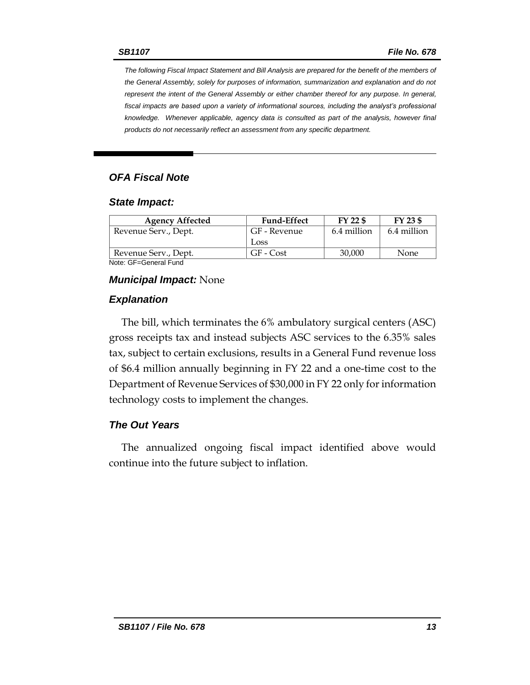*The following Fiscal Impact Statement and Bill Analysis are prepared for the benefit of the members of the General Assembly, solely for purposes of information, summarization and explanation and do not represent the intent of the General Assembly or either chamber thereof for any purpose. In general, fiscal impacts are based upon a variety of informational sources, including the analyst's professional knowledge. Whenever applicable, agency data is consulted as part of the analysis, however final products do not necessarily reflect an assessment from any specific department.*

#### *OFA Fiscal Note*

#### *State Impact:*

| <b>Fund-Effect</b> | FY 22 \$    | FY 23 \$    |
|--------------------|-------------|-------------|
| GF - Revenue       | 6.4 million | 6.4 million |
| Loss.              |             |             |
| GF - Cost          | 30,000      | None        |
|                    |             |             |

Note: GF=General Fund

#### *Municipal Impact:* None

#### *Explanation*

The bill, which terminates the 6% ambulatory surgical centers (ASC) gross receipts tax and instead subjects ASC services to the 6.35% sales tax, subject to certain exclusions, results in a General Fund revenue loss of \$6.4 million annually beginning in FY 22 and a one-time cost to the Department of Revenue Services of \$30,000 in FY 22 only for information technology costs to implement the changes.

#### *The Out Years*

The annualized ongoing fiscal impact identified above would continue into the future subject to inflation.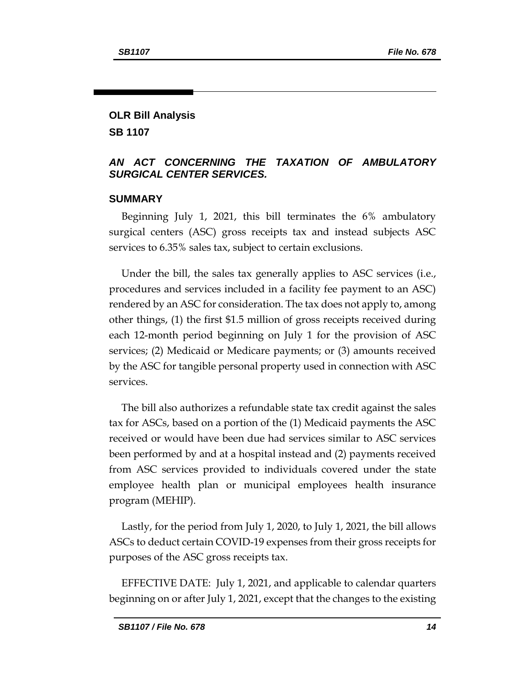## **OLR Bill Analysis SB 1107**

#### *AN ACT CONCERNING THE TAXATION OF AMBULATORY SURGICAL CENTER SERVICES.*

#### **SUMMARY**

Beginning July 1, 2021, this bill terminates the 6% ambulatory surgical centers (ASC) gross receipts tax and instead subjects ASC services to 6.35% sales tax, subject to certain exclusions.

Under the bill, the sales tax generally applies to ASC services (i.e., procedures and services included in a facility fee payment to an ASC) rendered by an ASC for consideration. The tax does not apply to, among other things, (1) the first \$1.5 million of gross receipts received during each 12-month period beginning on July 1 for the provision of ASC services; (2) Medicaid or Medicare payments; or (3) amounts received by the ASC for tangible personal property used in connection with ASC services.

The bill also authorizes a refundable state tax credit against the sales tax for ASCs, based on a portion of the (1) Medicaid payments the ASC received or would have been due had services similar to ASC services been performed by and at a hospital instead and (2) payments received from ASC services provided to individuals covered under the state employee health plan or municipal employees health insurance program (MEHIP).

Lastly, for the period from July 1, 2020, to July 1, 2021, the bill allows ASCs to deduct certain COVID-19 expenses from their gross receipts for purposes of the ASC gross receipts tax.

EFFECTIVE DATE: July 1, 2021, and applicable to calendar quarters beginning on or after July 1, 2021, except that the changes to the existing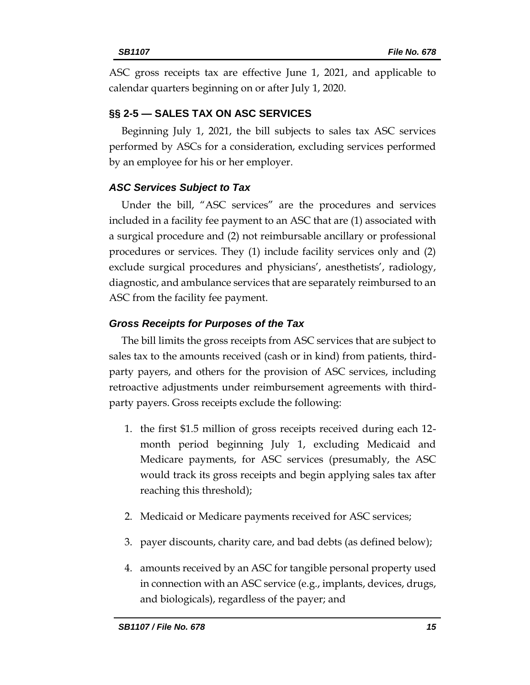ASC gross receipts tax are effective June 1, 2021, and applicable to calendar quarters beginning on or after July 1, 2020.

## **§§ 2-5 — SALES TAX ON ASC SERVICES**

Beginning July 1, 2021, the bill subjects to sales tax ASC services performed by ASCs for a consideration, excluding services performed by an employee for his or her employer.

## *ASC Services Subject to Tax*

Under the bill, "ASC services" are the procedures and services included in a facility fee payment to an ASC that are (1) associated with a surgical procedure and (2) not reimbursable ancillary or professional procedures or services. They (1) include facility services only and (2) exclude surgical procedures and physicians', anesthetists', radiology, diagnostic, and ambulance services that are separately reimbursed to an ASC from the facility fee payment.

## *Gross Receipts for Purposes of the Tax*

The bill limits the gross receipts from ASC services that are subject to sales tax to the amounts received (cash or in kind) from patients, thirdparty payers, and others for the provision of ASC services, including retroactive adjustments under reimbursement agreements with thirdparty payers. Gross receipts exclude the following:

- 1. the first \$1.5 million of gross receipts received during each 12 month period beginning July 1, excluding Medicaid and Medicare payments, for ASC services (presumably, the ASC would track its gross receipts and begin applying sales tax after reaching this threshold);
- 2. Medicaid or Medicare payments received for ASC services;
- 3. payer discounts, charity care, and bad debts (as defined below);
- 4. amounts received by an ASC for tangible personal property used in connection with an ASC service (e.g., implants, devices, drugs, and biologicals), regardless of the payer; and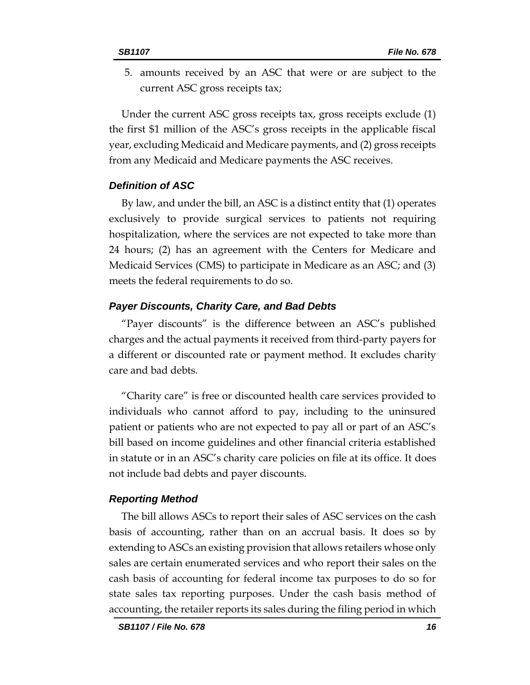5. amounts received by an ASC that were or are subject to the current ASC gross receipts tax;

Under the current ASC gross receipts tax, gross receipts exclude (1) the first \$1 million of the ASC's gross receipts in the applicable fiscal year, excluding Medicaid and Medicare payments, and (2) gross receipts from any Medicaid and Medicare payments the ASC receives.

#### *Definition of ASC*

By law, and under the bill, an ASC is a distinct entity that (1) operates exclusively to provide surgical services to patients not requiring hospitalization, where the services are not expected to take more than 24 hours; (2) has an agreement with the Centers for Medicare and Medicaid Services (CMS) to participate in Medicare as an ASC; and (3) meets the federal requirements to do so.

#### *Payer Discounts, Charity Care, and Bad Debts*

"Payer discounts" is the difference between an ASC's published charges and the actual payments it received from third-party payers for a different or discounted rate or payment method. It excludes charity care and bad debts.

"Charity care" is free or discounted health care services provided to individuals who cannot afford to pay, including to the uninsured patient or patients who are not expected to pay all or part of an ASC's bill based on income guidelines and other financial criteria established in statute or in an ASC's charity care policies on file at its office. It does not include bad debts and payer discounts.

#### *Reporting Method*

The bill allows ASCs to report their sales of ASC services on the cash basis of accounting, rather than on an accrual basis. It does so by extending to ASCs an existing provision that allows retailers whose only sales are certain enumerated services and who report their sales on the cash basis of accounting for federal income tax purposes to do so for state sales tax reporting purposes. Under the cash basis method of accounting, the retailer reports its sales during the filing period in which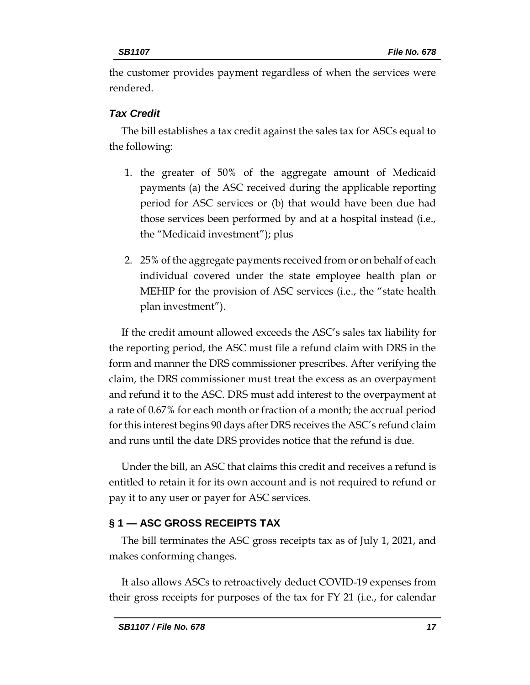the customer provides payment regardless of when the services were rendered.

## *Tax Credit*

The bill establishes a tax credit against the sales tax for ASCs equal to the following:

- 1. the greater of 50% of the aggregate amount of Medicaid payments (a) the ASC received during the applicable reporting period for ASC services or (b) that would have been due had those services been performed by and at a hospital instead (i.e., the "Medicaid investment"); plus
- 2. 25% of the aggregate payments received from or on behalf of each individual covered under the state employee health plan or MEHIP for the provision of ASC services (i.e., the "state health plan investment").

If the credit amount allowed exceeds the ASC's sales tax liability for the reporting period, the ASC must file a refund claim with DRS in the form and manner the DRS commissioner prescribes. After verifying the claim, the DRS commissioner must treat the excess as an overpayment and refund it to the ASC. DRS must add interest to the overpayment at a rate of 0.67% for each month or fraction of a month; the accrual period for this interest begins 90 days after DRS receives the ASC's refund claim and runs until the date DRS provides notice that the refund is due.

Under the bill, an ASC that claims this credit and receives a refund is entitled to retain it for its own account and is not required to refund or pay it to any user or payer for ASC services.

## **§ 1 — ASC GROSS RECEIPTS TAX**

The bill terminates the ASC gross receipts tax as of July 1, 2021, and makes conforming changes.

It also allows ASCs to retroactively deduct COVID-19 expenses from their gross receipts for purposes of the tax for FY 21 (i.e., for calendar